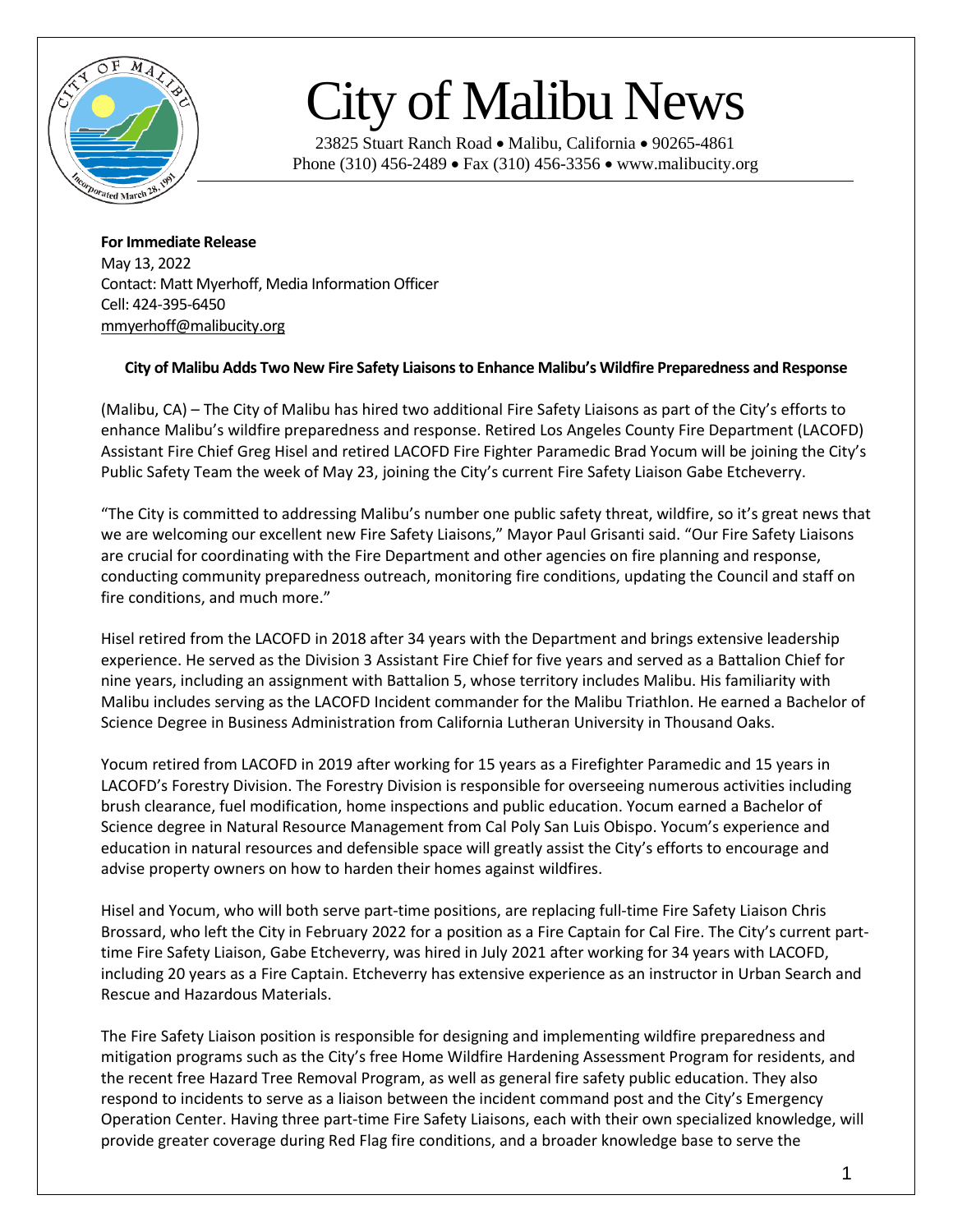

## City of Malibu News

23825 Stuart Ranch Road • Malibu, California • 90265-4861 Phone (310) 456-2489 • Fax (310) 456-3356 • www.malibucity.org

**For Immediate Release** May 13, 2022 Contact: Matt Myerhoff, Media Information Officer Cell: 424-395-6450 [mmyerhoff@malibucity.org](mailto:mmyerhoff@malibucity.org)

## **City of Malibu Adds Two New Fire Safety Liaisonsto Enhance Malibu's Wildfire Preparedness and Response**

(Malibu, CA) – The City of Malibu has hired two additional Fire Safety Liaisons as part of the City's efforts to enhance Malibu's wildfire preparedness and response. Retired Los Angeles County Fire Department (LACOFD) Assistant Fire Chief Greg Hisel and retired LACOFD Fire Fighter Paramedic Brad Yocum will be joining the City's Public Safety Team the week of May 23, joining the City's current Fire Safety Liaison Gabe Etcheverry.

"The City is committed to addressing Malibu's number one public safety threat, wildfire, so it's great news that we are welcoming our excellent new Fire Safety Liaisons," Mayor Paul Grisanti said. "Our Fire Safety Liaisons are crucial for coordinating with the Fire Department and other agencies on fire planning and response, conducting community preparedness outreach, monitoring fire conditions, updating the Council and staff on fire conditions, and much more."

Hisel retired from the LACOFD in 2018 after 34 years with the Department and brings extensive leadership experience. He served as the Division 3 Assistant Fire Chief for five years and served as a Battalion Chief for nine years, including an assignment with Battalion 5, whose territory includes Malibu. His familiarity with Malibu includes serving as the LACOFD Incident commander for the Malibu Triathlon. He earned a Bachelor of Science Degree in Business Administration from California Lutheran University in Thousand Oaks.

Yocum retired from LACOFD in 2019 after working for 15 years as a Firefighter Paramedic and 15 years in LACOFD's Forestry Division. The Forestry Division is responsible for overseeing numerous activities including brush clearance, fuel modification, home inspections and public education. Yocum earned a Bachelor of Science degree in Natural Resource Management from Cal Poly San Luis Obispo. Yocum's experience and education in natural resources and defensible space will greatly assist the City's efforts to encourage and advise property owners on how to harden their homes against wildfires.

Hisel and Yocum, who will both serve part-time positions, are replacing full-time Fire Safety Liaison Chris Brossard, who left the City in February 2022 for a position as a Fire Captain for Cal Fire. The City's current parttime Fire Safety Liaison, Gabe Etcheverry, was hired in July 2021 after working for 34 years with LACOFD, including 20 years as a Fire Captain. Etcheverry has extensive experience as an instructor in Urban Search and Rescue and Hazardous Materials.

The Fire Safety Liaison position is responsible for designing and implementing wildfire preparedness and mitigation programs such as the City's free Home Wildfire Hardening Assessment Program for residents, and the recent free Hazard Tree Removal Program, as well as general fire safety public education. They also respond to incidents to serve as a liaison between the incident command post and the City's Emergency Operation Center. Having three part-time Fire Safety Liaisons, each with their own specialized knowledge, will provide greater coverage during Red Flag fire conditions, and a broader knowledge base to serve the